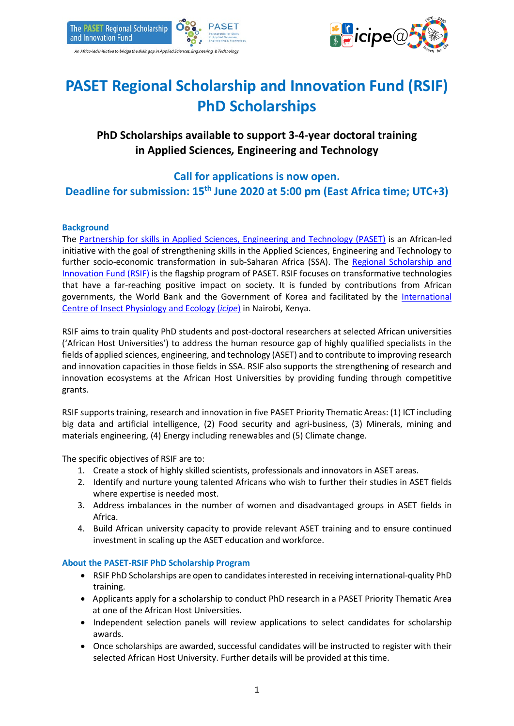



# **PASET Regional Scholarship and Innovation Fund (RSIF) PhD Scholarships**

## **PhD Scholarships available to support 3-4-year doctoral training in Applied Sciences***,* **Engineering and Technology**

# **Call for applications is now open. Deadline for submission: 15th June 2020 at 5:00 pm (East Africa time; UTC+3)**

### **Background**

The [Partnership for skills in Applied Sciences, Engineering and Technology \(PASET\)](http://www.worldbank.org/en/programs/paset) is an African-led initiative with the goal of strengthening skills in the Applied Sciences, Engineering and Technology to further socio-economic transformation in sub-Saharan Africa (SSA). The [Regional Scholarship and](https://www.rsif-paset.org/)  [Innovation Fund \(RSIF\)](https://www.rsif-paset.org/) is the flagship program of PASET. RSIF focuses on transformative technologies that have a far-reaching positive impact on society. It is funded by contributions from African governments, the World Bank and the Government of Korea and facilitated by the [International](http://www.icipe.org/)  [Centre of Insect Physiology and Ecology \(](http://www.icipe.org/)*icipe*) in Nairobi, Kenya.

RSIF aims to train quality PhD students and post-doctoral researchers at selected African universities ('African Host Universities') to address the human resource gap of highly qualified specialists in the fields of applied sciences, engineering, and technology (ASET) and to contribute to improving research and innovation capacities in those fields in SSA. RSIF also supports the strengthening of research and innovation ecosystems at the African Host Universities by providing funding through competitive grants.

RSIF supports training, research and innovation in five PASET Priority Thematic Areas: (1) ICT including big data and artificial intelligence, (2) Food security and agri-business, (3) Minerals, mining and materials engineering, (4) Energy including renewables and (5) Climate change.

The specific objectives of RSIF are to:

- 1. Create a stock of highly skilled scientists, professionals and innovators in ASET areas.
- 2. Identify and nurture young talented Africans who wish to further their studies in ASET fields where expertise is needed most.
- 3. Address imbalances in the number of women and disadvantaged groups in ASET fields in Africa.
- 4. Build African university capacity to provide relevant ASET training and to ensure continued investment in scaling up the ASET education and workforce.

#### **About the PASET-RSIF PhD Scholarship Program**

- RSIF PhD Scholarships are open to candidates interested in receiving international-quality PhD training.
- Applicants apply for a scholarship to conduct PhD research in a PASET Priority Thematic Area at one of the African Host Universities.
- Independent selection panels will review applications to select candidates for scholarship awards.
- Once scholarships are awarded, successful candidates will be instructed to register with their selected African Host University. Further details will be provided at this time.